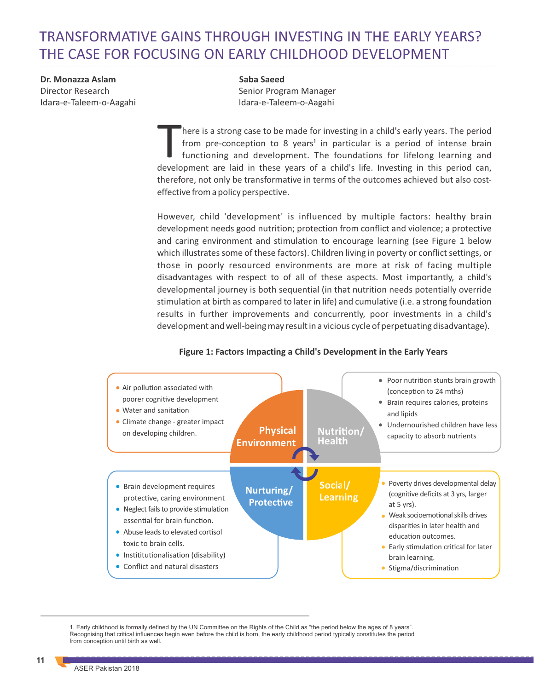# TRANSFORMATIVE GAINS THROUGH INVESTING IN THE EARLY YEARS? THE CASE FOR FOCUSING ON EARLY CHILDHOOD DEVELOPMENT

**Dr. Monazza Aslam** Director Research Idara-e-Taleem-o-Aagahi **Saba Saeed** Senior Program Manager Idara-e-Taleem-o-Aagahi

here is a strong case to be made for investing in a child's early years. The period from pre-conception to 8 years<sup>1</sup> in particular is a period of intense brain functioning and development. The foundations for lifelong learning and development are laid in these years of a child's life. Investing in this period can, therefore, not only be transformative in terms of the outcomes achieved but also costeffective from a policy perspective.

However, child 'development' is influenced by multiple factors: healthy brain development needs good nutrition; protection from conflict and violence; a protective and caring environment and stimulation to encourage learning (see Figure 1 below which illustrates some of these factors). Children living in poverty or conflict settings, or those in poorly resourced environments are more at risk of facing multiple disadvantages with respect to of all of these aspects. Most importantly, a child's developmental journey is both sequential (in that nutrition needs potentially override stimulation at birth as compared to later in life) and cumulative (i.e. a strong foundation results in further improvements and concurrently, poor investments in a child's development and well-being may result in a vicious cycle of perpetuating disadvantage).



#### **Figure 1: Factors Impacting a Child's Development in the Early Years**

1. Early childhood is formally defined by the UN Committee on the Rights of the Child as "the period below the ages of 8 years". Recognising that critical influences begin even before the child is born, the early childhood period typically constitutes the period from conception until birth as well.

**11**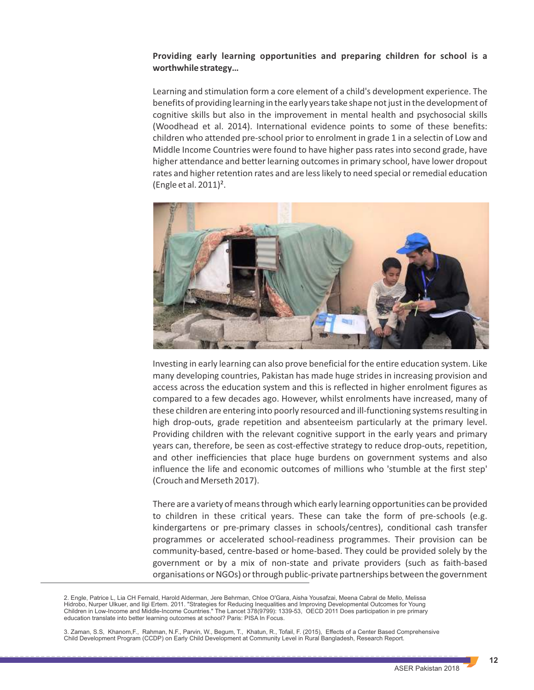## **Providing early learning opportunities and preparing children for school is a worthwhile strategy…**

Learning and stimulation form a core element of a child's development experience. The benefits of providing learning in the early years take shape not just in the development of cognitive skills but also in the improvement in mental health and psychosocial skills (Woodhead et al. 2014). International evidence points to some of these benefits: children who attended pre-school prior to enrolment in grade 1 in a selectin of Low and Middle Income Countries were found to have higher pass rates into second grade, have higher attendance and better learning outcomes in primary school, have lower dropout rates and higher retention rates and are less likely to need special or remedial education (Engle et al. 2011)².



Investing in early learning can also prove beneficial for the entire education system. Like many developing countries, Pakistan has made huge strides in increasing provision and access across the education system and this is reflected in higher enrolment figures as compared to a few decades ago. However, whilst enrolments have increased, many of these children are entering into poorly resourced and ill-functioning systems resulting in high drop-outs, grade repetition and absenteeism particularly at the primary level. Providing children with the relevant cognitive support in the early years and primary years can, therefore, be seen as cost-effective strategy to reduce drop-outs, repetition, and other inefficiencies that place huge burdens on government systems and also influence the life and economic outcomes of millions who 'stumble at the first step' (Crouch and Merseth 2017).

There are a variety of means through which early learning opportunities can be provided to children in these critical years. These can take the form of pre-schools (e.g. kindergartens or pre-primary classes in schools/centres), conditional cash transfer programmes or accelerated school-readiness programmes. Their provision can be community-based, centre-based or home-based. They could be provided solely by the government or by a mix of non-state and private providers (such as faith-based organisations or NGOs) or through public-private partnerships between the government

2. Engle, Patrice L, Lia CH Fernald, Harold Alderman, Jere Behrman, Chloe O'Gara, Aisha Yousafzai, Meena Cabral de Mello, Melissa Hidrobo, Nurper Ulkuer, and Ilgi Ertem. 2011. "Strategies for Reducing Inequalities and Improving Developmental Outcomes for Young Children in Low-Income and Middle-Income Countries." The Lancet 378(9799): 1339-53, OECD 2011 Does participation in pre primary education translate into better learning outcomes at school? Paris: PISA In Focus.

3. Zaman, S.S, Khanom,F., Rahman, N.F., Parvin, W., Begum, T., Khatun, R., Tofail, F. (2015), Effects of a Center Based Comprehensive Child Development Program (CCDP) on Early Child Development at Community Level in Rural Bangladesh, Research Report.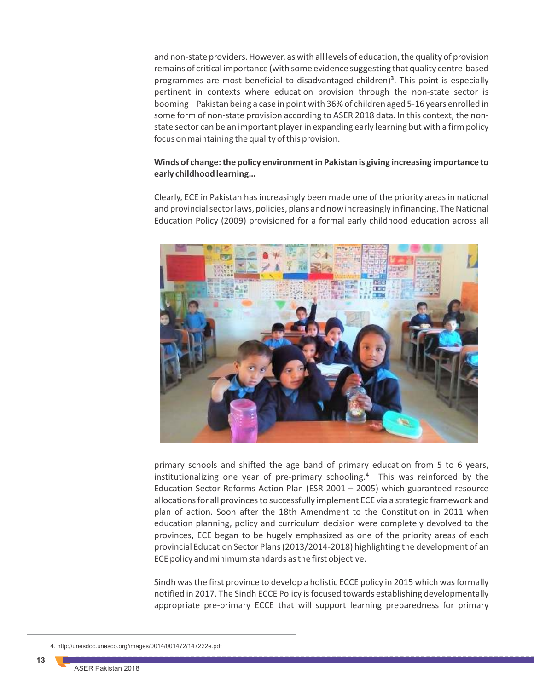and non-state providers. However, as with all levels of education, the quality of provision remains of critical importance (with some evidence suggesting that quality centre-based programmes are most beneficial to disadvantaged children)<sup>3</sup>. This point is especially pertinent in contexts where education provision through the non-state sector is booming – Pakistan being a case in point with 36% of children aged 5-16 years enrolled in some form of non-state provision according to ASER 2018 data. In this context, the nonstate sector can be an important player in expanding early learning but with a firm policy focus on maintaining the quality of this provision.

## **Winds of change: the policy environment in Pakistan is giving increasing importance to early childhood learning…**

Clearly, ECE in Pakistan has increasingly been made one of the priority areas in national and provincial sector laws, policies, plans and now increasingly in financing. The National Education Policy (2009) provisioned for a formal early childhood education across all



primary schools and shifted the age band of primary education from 5 to 6 years, institutionalizing one year of pre-primary schooling. $4$  This was reinforced by the Education Sector Reforms Action Plan (ESR 2001 – 2005) which guaranteed resource allocations for all provinces to successfully implement ECE via a strategic framework and plan of action. Soon after the 18th Amendment to the Constitution in 2011 when education planning, policy and curriculum decision were completely devolved to the provinces, ECE began to be hugely emphasized as one of the priority areas of each provincial Education Sector Plans (2013/2014-2018) highlighting the development of an ECE policy and minimum standards as the first objective.

Sindh was the first province to develop a holistic ECCE policy in 2015 which was formally notified in 2017. The Sindh ECCE Policy is focused towards establishing developmentally appropriate pre-primary ECCE that will support learning preparedness for primary

4. http://unesdoc.unesco.org/images/0014/001472/147222e.pdf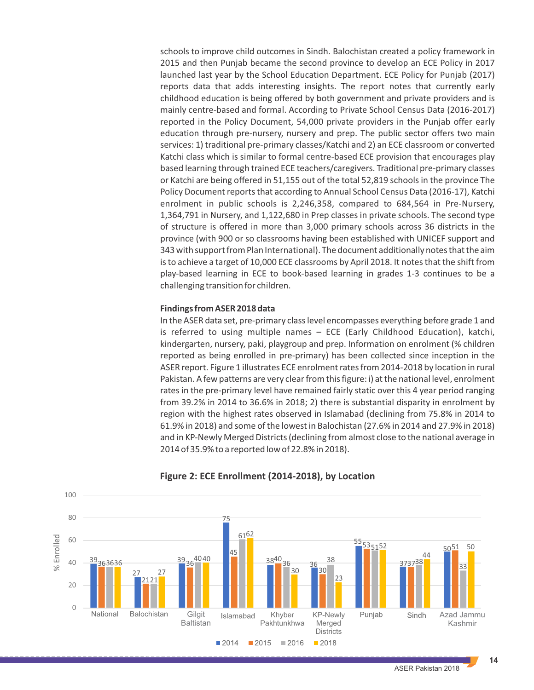schools to improve child outcomes in Sindh. Balochistan created a policy framework in 2015 and then Punjab became the second province to develop an ECE Policy in 2017 launched last year by the School Education Department. ECE Policy for Punjab (2017) reports data that adds interesting insights. The report notes that currently early childhood education is being offered by both government and private providers and is mainly centre-based and formal. According to Private School Census Data (2016-2017) reported in the Policy Document, 54,000 private providers in the Punjab offer early education through pre-nursery, nursery and prep. The public sector offers two main services: 1) traditional pre-primary classes/Katchi and 2) an ECE classroom or converted Katchi class which is similar to formal centre-based ECE provision that encourages play based learning through trained ECE teachers/caregivers. Traditional pre-primary classes or Katchi are being offered in 51,155 out of the total 52,819 schools in the province The Policy Document reports that according to Annual School Census Data (2016-17), Katchi enrolment in public schools is 2,246,358, compared to 684,564 in Pre-Nursery, 1,364,791 in Nursery, and 1,122,680 in Prep classes in private schools. The second type of structure is offered in more than 3,000 primary schools across 36 districts in the province (with 900 or so classrooms having been established with UNICEF support and 343 with support from Plan International). The document additionally notes that the aim is to achieve a target of 10,000 ECE classrooms by April 2018. It notes that the shift from play-based learning in ECE to book-based learning in grades 1-3 continues to be a challenging transition for children.

#### **Findings from ASER 2018 data**

In the ASER data set, pre-primary class level encompasses everything before grade 1 and is referred to using multiple names – ECE (Early Childhood Education), katchi, kindergarten, nursery, paki, playgroup and prep. Information on enrolment (% children reported as being enrolled in pre-primary) has been collected since inception in the ASER report. Figure 1 illustrates ECE enrolment rates from 2014-2018 by location in rural Pakistan. A few patterns are very clear from this figure: i) at the national level, enrolment rates in the pre-primary level have remained fairly static over this 4 year period ranging from 39.2% in 2014 to 36.6% in 2018; 2) there is substantial disparity in enrolment by region with the highest rates observed in Islamabad (declining from 75.8% in 2014 to 61.9% in 2018) and some of the lowest in Balochistan (27.6% in 2014 and 27.9% in 2018) and in KP-Newly Merged Districts (declining from almost close to the national average in 2014 of 35.9% to a reported low of 22.8% in 2018).



## **Figure 2: ECE Enrollment (2014-2018), by Location**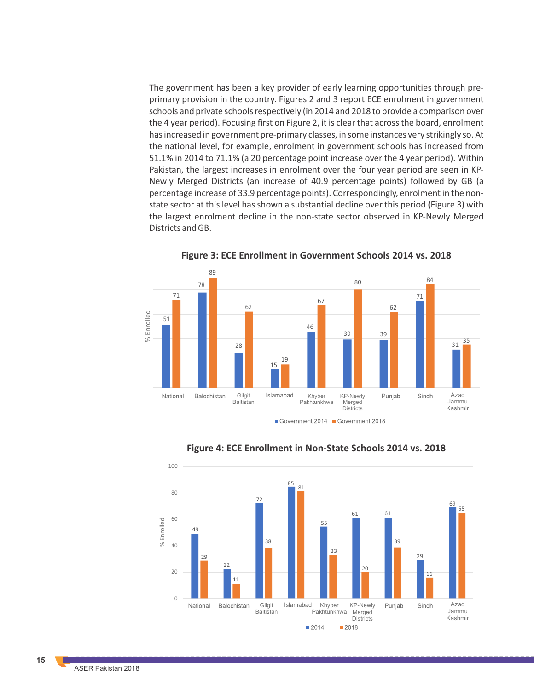The government has been a key provider of early learning opportunities through preprimary provision in the country. Figures 2 and 3 report ECE enrolment in government schools and private schools respectively (in 2014 and 2018 to provide a comparison over the 4 year period). Focusing first on Figure 2, it is clear that across the board, enrolment has increased in government pre-primary classes, in some instances very strikingly so. At the national level, for example, enrolment in government schools has increased from 51.1% in 2014 to 71.1% (a 20 percentage point increase over the 4 year period). Within Pakistan, the largest increases in enrolment over the four year period are seen in KP-Newly Merged Districts (an increase of 40.9 percentage points) followed by GB (a percentage increase of 33.9 percentage points). Correspondingly, enrolment in the nonstate sector at this level has shown a substantial decline over this period (Figure 3) with the largest enrolment decline in the non-state sector observed in KP-Newly Merged Districts and GB.



**Figure 3: ECE Enrollment in Government Schools 2014 vs. 2018**



**Figure 4: ECE Enrollment in Non-State Schools 2014 vs. 2018**